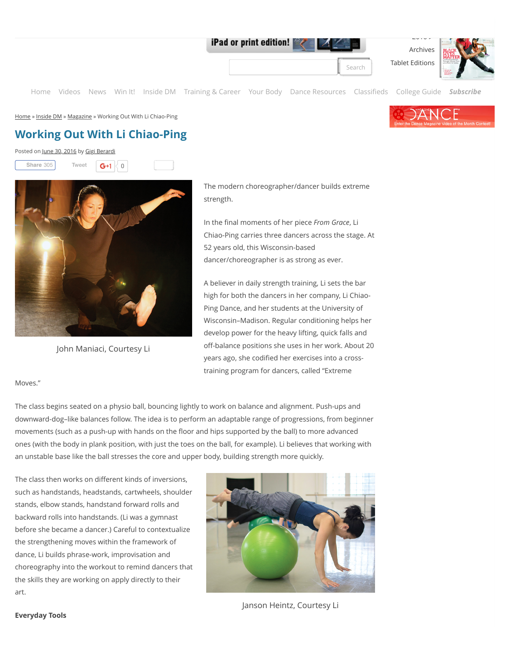iPad or print edition!

2016 ➤ [Archives](http://dancemagazine.com/magazines/)

**[Tablet Editions](http://dancemagazine.com/buy-the-apps/)** 

[Home](http://dancemagazine.com/) [Videos](http://dancemagazine.com/videos/) [News](http://dancemagazine.com/news/) [Win It!](http://dancemagazine.com/win-it/) [Inside DM](http://dancemagazine.com/inside-dm/magazine/working-li-chiao-ping/#) [Training & Career](http://dancemagazine.com/training-career/) [Your Body](http://dancemagazine.com/your-body/) [Dance Resources](http://dancemagazine.com/dance-resources/) [Classi](http://dancemagazine.com/classified/)fieds [College Guide](http://dancemagazine.com/collegeguide/) *[Subscribe](https://ssl.palmcoastd.com/18101/apps/ORDOPTION1LANDING?ikey=H**W01)*

[Home](http://dancemagazine.com/) » [Inside DM](http://dancemagazine.com/inside-dm/) » [Magazine](http://dancemagazine.com/inside-dm/magazine/) » Working Out With Li Chiao-Ping

## **Working Out With Li Chiao-Ping**

Posted on [June 30, 2016](http://dancemagazine.com/inside-dm/magazine/working-li-chiao-ping/) by [Gigi Berardi](http://dancemagazine.com/author/Gigi%20Berardi/)





John Maniaci, Courtesy Li

The modern choreographer/dancer builds extreme strength.

In the final moments of her piece *From Grace*, Li Chiao-Ping carries three dancers across the stage. At 52 years old, this Wisconsin-based dancer/choreographer is as strong as ever.

A believer in daily strength training, Li sets the bar high for both the dancers in her company, Li Chiao-Ping Dance, and her students at the University of Wisconsin–Madison. Regular conditioning helps her develop power for the heavy lifting, quick falls and off-balance positions she uses in her work. About 20 years ago, she codified her exercises into a crosstraining program for dancers, called "Extreme

## Moves."

The class begins seated on a physio ball, bouncing lightly to work on balance and alignment. Push-ups and downward-dog–like balances follow. The idea is to perform an adaptable range of progressions, from beginner movements (such as a push-up with hands on the floor and hips supported by the ball) to more advanced ones (with the body in plank position, with just the toes on the ball, for example). Li believes that working with an unstable base like the ball stresses the core and upper body, building strength more quickly.

The class then works on different kinds of inversions, such as handstands, headstands, cartwheels, shoulder stands, elbow stands, handstand forward rolls and backward rolls into handstands. (Li was a gymnast before she became a dancer.) Careful to contextualize the strengthening moves within the framework of dance, Li builds phrase-work, improvisation and choreography into the workout to remind dancers that the skills they are working on apply directly to their art.



Janson Heintz, Courtesy Li

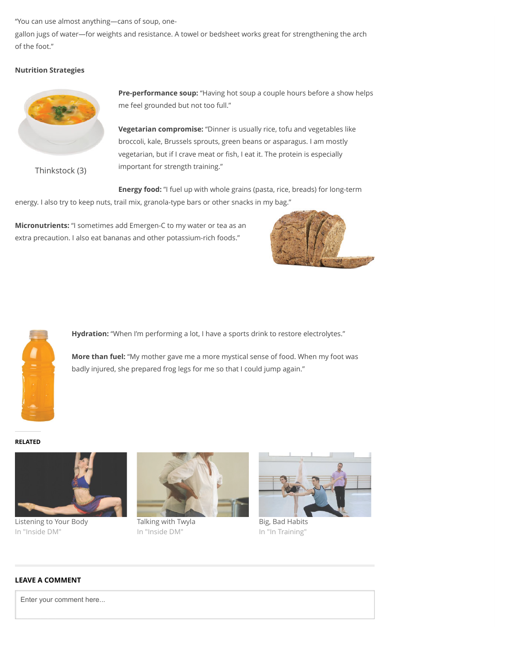"You can use almost anything—cans of soup, one-

gallon jugs of water—for weights and resistance. A towel or bedsheet works great for strengthening the arch of the foot."

## **Nutrition Strategies**



Thinkstock (3)

**Pre-performance soup:** "Having hot soup a couple hours before a show helps me feel grounded but not too full."

**Vegetarian compromise:** "Dinner is usually rice, tofu and vegetables like broccoli, kale, Brussels sprouts, green beans or asparagus. I am mostly vegetarian, but if I crave meat or fish, I eat it. The protein is especially important for strength training."

**Energy food:** "I fuel up with whole grains (pasta, rice, breads) for long-term energy. I also try to keep nuts, trail mix, granola-type bars or other snacks in my bag."

**Micronutrients:** "I sometimes add Emergen-C to my water or tea as an extra precaution. I also eat bananas and other potassium-rich foods."





**Hydration:** "When I'm performing a lot, I have a sports drink to restore electrolytes."

**More than fuel:** "My mother gave me a more mystical sense of food. When my foot was badly injured, she prepared frog legs for me so that I could jump again."

**RELATED**



Listening to Your Body In "Inside DM"



Talking with Twyla In "Inside DM"



Big, Bad Habits In "In Training"

## **LEAVE A COMMENT**

Enter your comment here...